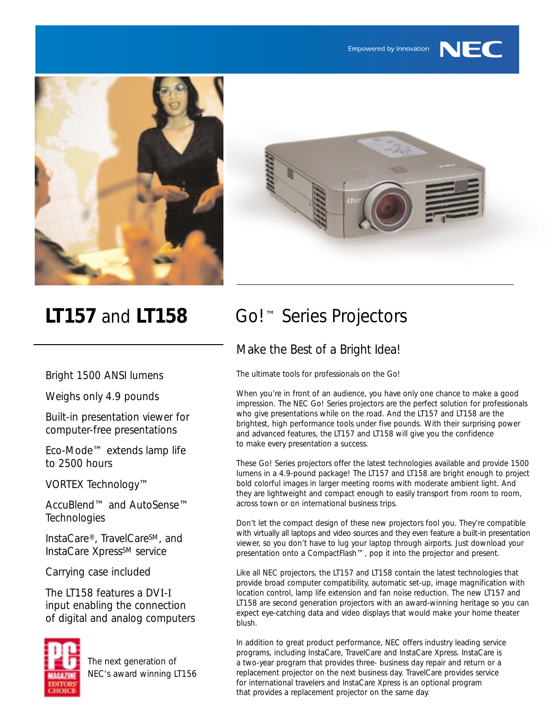



Empowered by Innovation

NEC

Bright 1500 ANSI lumens

Weighs only 4.9 pounds

Built-in presentation viewer for computer-free presentations

Eco-Mode™ extends lamp life to 2500 hours

VORTEX Technology™

AccuBlend™ and AutoSense™ **Technologies** 

InstaCare®, TravelCareSM, and InstaCare Xpress<sup>SM</sup> service

Carrying case included

The LT158 features a DVI-I input enabling the connection of digital and analog computers



The next generation of NEC's award winning LT156

# **LT157** and **LT158** Go!™ Series Projectors

### Make the Best of a Bright Idea!

The ultimate tools for professionals on the Go!

When you're in front of an audience, you have only one chance to make a good impression. The NEC Go! Series projectors are the perfect solution for professionals who give presentations while on the road. And the LT157 and LT158 are the brightest, high performance tools under five pounds. With their surprising power and advanced features, the LT157 and LT158 will give you the confidence to make every presentation a success.

These Go! Series projectors offer the latest technologies available and provide 1500 lumens in a 4.9-pound package! The LT157 and LT158 are bright enough to project bold colorful images in larger meeting rooms with moderate ambient light. And they are lightweight and compact enough to easily transport from room to room, across town or on international business trips.

Don't let the compact design of these new projectors fool you. They're compatible with virtually all laptops and video sources and they even feature a built-in presentation viewer, so you don't have to lug your laptop through airports. Just download your presentation onto a CompactFlash™, pop it into the projector and present.

Like all NEC projectors, the LT157 and LT158 contain the latest technologies that provide broad computer compatibility, automatic set-up, image magnification with location control, lamp life extension and fan noise reduction. The new LT157 and LT158 are second generation projectors with an award-winning heritage so you can expect eye-catching data and video displays that would make your home theater blush.

In addition to great product performance, NEC offers industry leading service programs, including InstaCare, TravelCare and InstaCare Xpress. InstaCare is a two-year program that provides three- business day repair and return or a replacement projector on the next business day. TravelCare provides service for international travelers and InstaCare Xpress is an optional program that provides a replacement projector on the same day.